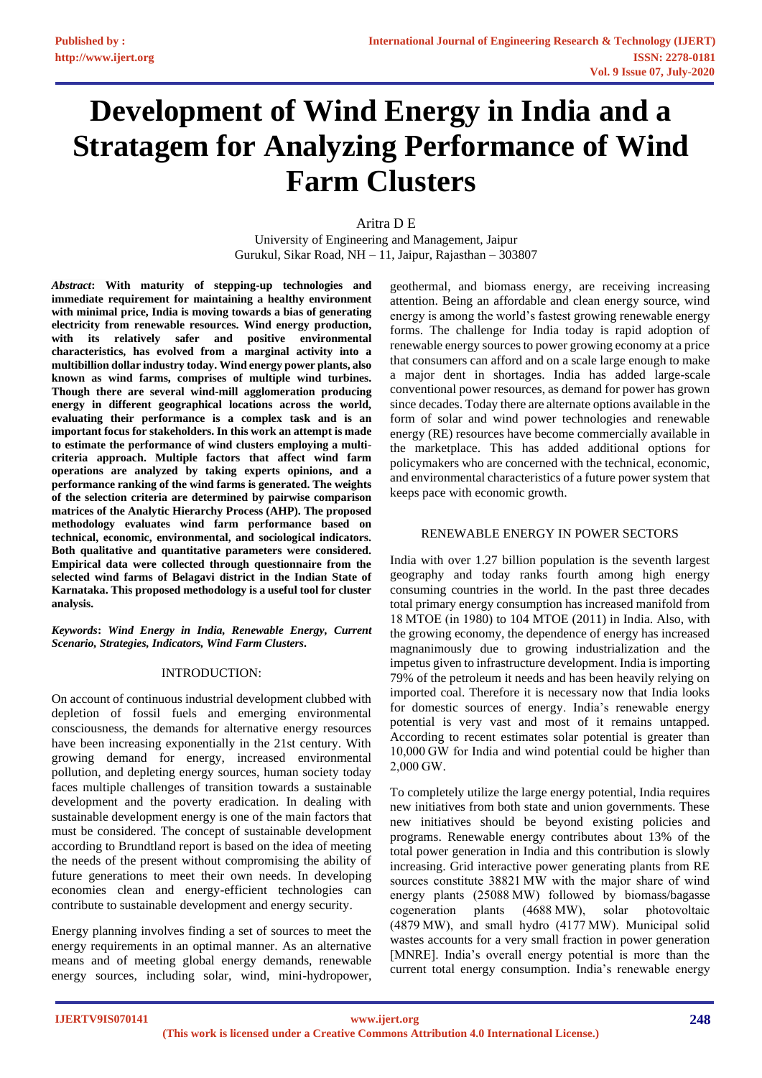# **Development of Wind Energy in India and a Stratagem for Analyzing Performance of Wind Farm Clusters**

Aritra D E

University of Engineering and Management, Jaipur Gurukul, Sikar Road, NH – 11, Jaipur, Rajasthan – 303807

*Abstract***: With maturity of stepping-up technologies and immediate requirement for maintaining a healthy environment with minimal price, India is moving towards a bias of generating electricity from renewable resources. Wind energy production, with its relatively safer and positive environmental characteristics, has evolved from a marginal activity into a multibillion dollar industry today. Wind energy power plants, also known as wind farms, comprises of multiple wind turbines. Though there are several wind-mill agglomeration producing energy in different geographical locations across the world, evaluating their performance is a complex task and is an important focus for stakeholders. In this work an attempt is made to estimate the performance of wind clusters employing a multicriteria approach. Multiple factors that affect wind farm operations are analyzed by taking experts opinions, and a performance ranking of the wind farms is generated. The weights of the selection criteria are determined by pairwise comparison matrices of the Analytic Hierarchy Process (AHP). The proposed methodology evaluates wind farm performance based on technical, economic, environmental, and sociological indicators. Both qualitative and quantitative parameters were considered. Empirical data were collected through questionnaire from the selected wind farms of Belagavi district in the Indian State of Karnataka. This proposed methodology is a useful tool for cluster analysis.**

*Keywords***:** *Wind Energy in India, Renewable Energy, Current Scenario, Strategies, Indicators, Wind Farm Clusters***.**

## INTRODUCTION:

On account of continuous industrial development clubbed with depletion of fossil fuels and emerging environmental consciousness, the demands for alternative energy resources have been increasing exponentially in the 21st century. With growing demand for energy, increased environmental pollution, and depleting energy sources, human society today faces multiple challenges of transition towards a sustainable development and the poverty eradication. In dealing with sustainable development energy is one of the main factors that must be considered. The concept of sustainable development according to Brundtland report is based on the idea of meeting the needs of the present without compromising the ability of future generations to meet their own needs. In developing economies clean and energy-efficient technologies can contribute to sustainable development and energy security.

Energy planning involves finding a set of sources to meet the energy requirements in an optimal manner. As an alternative means and of meeting global energy demands, renewable energy sources, including solar, wind, mini-hydropower, geothermal, and biomass energy, are receiving increasing attention. Being an affordable and clean energy source, wind energy is among the world's fastest growing renewable energy forms. The challenge for India today is rapid adoption of renewable energy sources to power growing economy at a price that consumers can afford and on a scale large enough to make a major dent in shortages. India has added large-scale conventional power resources, as demand for power has grown since decades. Today there are alternate options available in the form of solar and wind power technologies and renewable energy (RE) resources have become commercially available in the marketplace. This has added additional options for policymakers who are concerned with the technical, economic, and environmental characteristics of a future power system that keeps pace with economic growth.

#### RENEWABLE ENERGY IN POWER SECTORS

India with over 1.27 billion population is the seventh largest geography and today ranks fourth among high energy consuming countries in the world. In the past three decades total primary energy consumption has increased manifold from 18 MTOE (in 1980) to 104 MTOE (2011) in India. Also, with the growing economy, the dependence of energy has increased magnanimously due to growing industrialization and the impetus given to infrastructure development. India is importing 79% of the petroleum it needs and has been heavily relying on imported coal. Therefore it is necessary now that India looks for domestic sources of energy. India's renewable energy potential is very vast and most of it remains untapped. According to recent estimates solar potential is greater than 10,000 GW for India and wind potential could be higher than 2,000 GW.

To completely utilize the large energy potential, India requires new initiatives from both state and union governments. These new initiatives should be beyond existing policies and programs. Renewable energy contributes about 13% of the total power generation in India and this contribution is slowly increasing. Grid interactive power generating plants from RE sources constitute 38821 MW with the major share of wind energy plants (25088 MW) followed by biomass/bagasse cogeneration plants (4688 MW), solar photovoltaic (4879 MW), and small hydro (4177 MW). Municipal solid wastes accounts for a very small fraction in power generation [MNRE]. India's overall energy potential is more than the current total energy consumption. India's renewable energy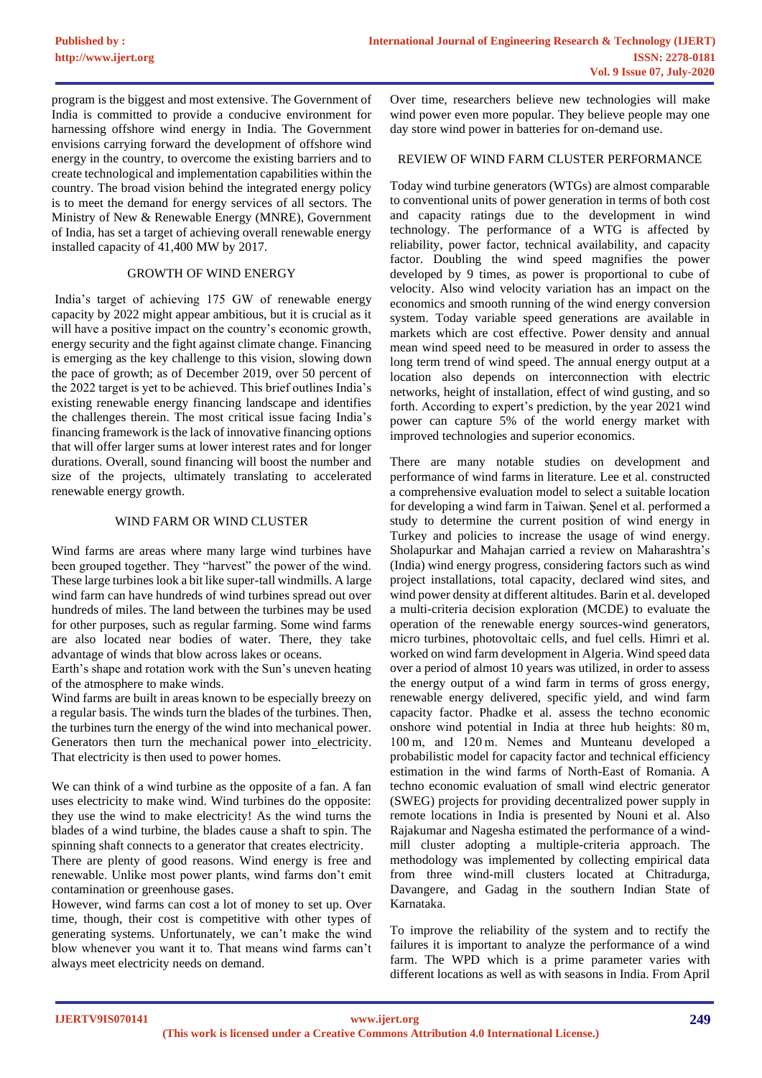program is the biggest and most extensive. The Government of India is committed to provide a conducive environment for harnessing offshore wind energy in India. The Government envisions carrying forward the development of offshore wind energy in the country, to overcome the existing barriers and to create technological and implementation capabilities within the country. The broad vision behind the integrated energy policy is to meet the demand for energy services of all sectors. The Ministry of New & Renewable Energy (MNRE), Government of India, has set a target of achieving overall renewable energy installed capacity of 41,400 MW by 2017.

# GROWTH OF WIND ENERGY

India's target of achieving 175 GW of renewable energy capacity by 2022 might appear ambitious, but it is crucial as it will have a positive impact on the country's economic growth, energy security and the fight against climate change. Financing is emerging as the key challenge to this vision, slowing down the pace of growth; as of December 2019, over 50 percent of the 2022 target is yet to be achieved. This brief outlines India's existing renewable energy financing landscape and identifies the challenges therein. The most critical issue facing India's financing framework is the lack of innovative financing options that will offer larger sums at lower interest rates and for longer durations. Overall, sound financing will boost the number and size of the projects, ultimately translating to accelerated renewable energy growth.

#### WIND FARM OR WIND CLUSTER

Wind farms are areas where many large wind turbines have been grouped together. They "harvest" the power of the wind. These large turbines look a bit like super-tall windmills. A large wind farm can have hundreds of wind turbines spread out over hundreds of miles. The land between the turbines may be used for other purposes, such as regular farming. Some wind farms are also located near bodies of water. There, they take advantage of winds that blow across lakes or oceans.

Earth's shape and rotation work with the Sun's uneven heating of the atmosphere to make winds.

Wind farms are built in areas known to be especially breezy on a regular basis. The winds turn the blades of the turbines. Then, the turbines turn the energy of the wind into mechanical power. Generators then turn the mechanical power int[o](https://www.wonderopolis.org/wonder/can-you-make-electricity-with-water/) electricity. That electricity is then used to power homes.

We can think of a wind turbine as the opposite of a fan. A fan uses electricity to make wind. Wind turbines do the opposite: they use the wind to make electricity! As the wind turns the blades of a wind turbine, the blades cause a shaft to spin. The spinning shaft connects to a generator that creates electricity.

There are plenty of good reasons. Wind energy is free and renewable. Unlike most power plants, wind farms don't emit contamination or greenhouse gases.

However, wind farms can cost a lot of money to set up. Over time, though, their cost is competitive with other types of generating systems. Unfortunately, we can't make the wind blow whenever you want it to. That means wind farms can't always meet electricity needs on demand.

Over time, researchers believe new technologies will make wind power even more popular. They believe people may one day store wind power in batteries for on-demand use.

## REVIEW OF WIND FARM CLUSTER PERFORMANCE

Today wind turbine generators (WTGs) are almost comparable to conventional units of power generation in terms of both cost and capacity ratings due to the development in wind technology. The performance of a WTG is affected by reliability, power factor, technical availability, and capacity factor. Doubling the wind speed magnifies the power developed by 9 times, as power is proportional to cube of velocity. Also wind velocity variation has an impact on the economics and smooth running of the wind energy conversion system. Today variable speed generations are available in markets which are cost effective. Power density and annual mean wind speed need to be measured in order to assess the long term trend of wind speed. The annual energy output at a location also depends on interconnection with electric networks, height of installation, effect of wind gusting, and so forth. According to expert's prediction, by the year 2021 wind power can capture 5% of the world energy market with improved technologies and superior economics.

There are many notable studies on development and performance of wind farms in literature. Lee et al. constructed a comprehensive evaluation model to select a suitable location for developing a wind farm in Taiwan. Şenel et al. performed a study to determine the current position of wind energy in Turkey and policies to increase the usage of wind energy. Sholapurkar and Mahajan carried a review on Maharashtra's (India) wind energy progress, considering factors such as wind project installations, total capacity, declared wind sites, and wind power density at different altitudes. Barin et al. developed a multi-criteria decision exploration (MCDE) to evaluate the operation of the renewable energy sources-wind generators, micro turbines, photovoltaic cells, and fuel cells. Himri et al. worked on wind farm development in Algeria. Wind speed data over a period of almost 10 years was utilized, in order to assess the energy output of a wind farm in terms of gross energy, renewable energy delivered, specific yield, and wind farm capacity factor. Phadke et al. assess the techno economic onshore wind potential in India at three hub heights: 80 m, 100 m, and 120 m. Nemes and Munteanu developed a probabilistic model for capacity factor and technical efficiency estimation in the wind farms of North-East of Romania. A techno economic evaluation of small wind electric generator (SWEG) projects for providing decentralized power supply in remote locations in India is presented by Nouni et al. Also Rajakumar and Nagesha estimated the performance of a windmill cluster adopting a multiple-criteria approach. The methodology was implemented by collecting empirical data from three wind-mill clusters located at Chitradurga, Davangere, and Gadag in the southern Indian State of Karnataka.

To improve the reliability of the system and to rectify the failures it is important to analyze the performance of a wind farm. The WPD which is a prime parameter varies with different locations as well as with seasons in India. From April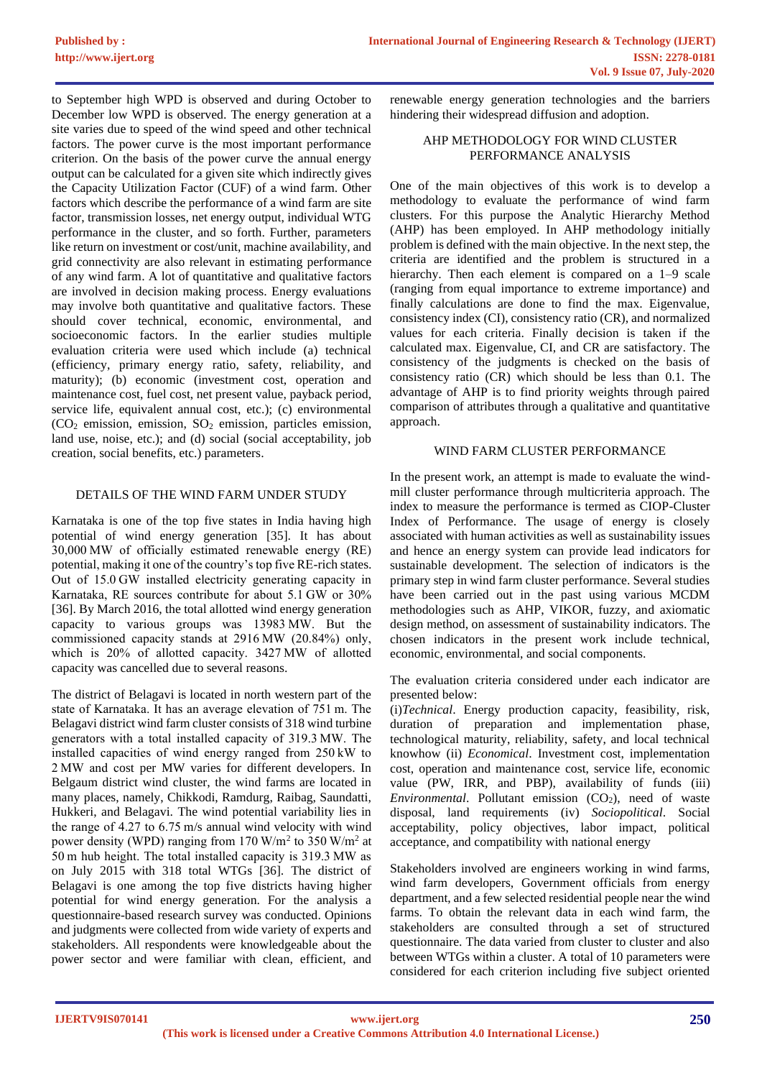to September high WPD is observed and during October to December low WPD is observed. The energy generation at a site varies due to speed of the wind speed and other technical factors. The power curve is the most important performance criterion. On the basis of the power curve the annual energy output can be calculated for a given site which indirectly gives the Capacity Utilization Factor (CUF) of a wind farm. Other factors which describe the performance of a wind farm are site factor, transmission losses, net energy output, individual WTG performance in the cluster, and so forth. Further, parameters like return on investment or cost/unit, machine availability, and grid connectivity are also relevant in estimating performance of any wind farm. A lot of quantitative and qualitative factors are involved in decision making process. Energy evaluations may involve both quantitative and qualitative factors. These should cover technical, economic, environmental, and socioeconomic factors. In the earlier studies multiple evaluation criteria were used which include (a) technical (efficiency, primary energy ratio, safety, reliability, and maturity); (b) economic (investment cost, operation and maintenance cost, fuel cost, net present value, payback period, service life, equivalent annual cost, etc.); (c) environmental  $(CO<sub>2</sub>$  emission, emission, SO<sub>2</sub> emission, particles emission, land use, noise, etc.); and (d) social (social acceptability, job creation, social benefits, etc.) parameters.

# DETAILS OF THE WIND FARM UNDER STUDY

Karnataka is one of the top five states in India having high potential of wind energy generation [35]. It has about 30,000 MW of officially estimated renewable energy (RE) potential, making it one of the country's top five RE-rich states. Out of 15.0 GW installed electricity generating capacity in Karnataka, RE sources contribute for about 5.1 GW or 30% [36]. By March 2016, the total allotted wind energy generation capacity to various groups was 13983 MW. But the commissioned capacity stands at 2916 MW (20.84%) only, which is 20% of allotted capacity. 3427 MW of allotted capacity was cancelled due to several reasons.

The district of Belagavi is located in north western part of the state of Karnataka. It has an average elevation of 751 m. The Belagavi district wind farm cluster consists of 318 wind turbine generators with a total installed capacity of 319.3 MW. The installed capacities of wind energy ranged from 250 kW to 2 MW and cost per MW varies for different developers. In Belgaum district wind cluster, the wind farms are located in many places, namely, Chikkodi, Ramdurg, Raibag, Saundatti, Hukkeri, and Belagavi. The wind potential variability lies in the range of 4.27 to 6.75 m/s annual wind velocity with wind power density (WPD) ranging from 170 W/m<sup>2</sup> to 350 W/m<sup>2</sup> at 50 m hub height. The total installed capacity is 319.3 MW as on July 2015 with 318 total WTGs [36]. The district of Belagavi is one among the top five districts having higher potential for wind energy generation. For the analysis a questionnaire-based research survey was conducted. Opinions and judgments were collected from wide variety of experts and stakeholders. All respondents were knowledgeable about the power sector and were familiar with clean, efficient, and

renewable energy generation technologies and the barriers hindering their widespread diffusion and adoption.

## AHP METHODOLOGY FOR WIND CLUSTER PERFORMANCE ANALYSIS

One of the main objectives of this work is to develop a methodology to evaluate the performance of wind farm clusters. For this purpose the Analytic Hierarchy Method (AHP) has been employed. In AHP methodology initially problem is defined with the main objective. In the next step, the criteria are identified and the problem is structured in a hierarchy. Then each element is compared on a 1–9 scale (ranging from equal importance to extreme importance) and finally calculations are done to find the max. Eigenvalue, consistency index (CI), consistency ratio (CR), and normalized values for each criteria. Finally decision is taken if the calculated max. Eigenvalue, CI, and CR are satisfactory. The consistency of the judgments is checked on the basis of consistency ratio (CR) which should be less than 0.1. The advantage of AHP is to find priority weights through paired comparison of attributes through a qualitative and quantitative approach.

### WIND FARM CLUSTER PERFORMANCE

In the present work, an attempt is made to evaluate the windmill cluster performance through multicriteria approach. The index to measure the performance is termed as CIOP-Cluster Index of Performance. The usage of energy is closely associated with human activities as well as sustainability issues and hence an energy system can provide lead indicators for sustainable development. The selection of indicators is the primary step in wind farm cluster performance. Several studies have been carried out in the past using various MCDM methodologies such as AHP, VIKOR, fuzzy, and axiomatic design method, on assessment of sustainability indicators. The chosen indicators in the present work include technical, economic, environmental, and social components.

The evaluation criteria considered under each indicator are presented below:

(i)*Technical*. Energy production capacity, feasibility, risk, duration of preparation and implementation phase, technological maturity, reliability, safety, and local technical knowhow (ii) *Economical*. Investment cost, implementation cost, operation and maintenance cost, service life, economic value (PW, IRR, and PBP), availability of funds (iii) *Environmental*. Pollutant emission (CO<sub>2</sub>), need of waste disposal, land requirements (iv) *Sociopolitical*. Social acceptability, policy objectives, labor impact, political acceptance, and compatibility with national energy

Stakeholders involved are engineers working in wind farms, wind farm developers, Government officials from energy department, and a few selected residential people near the wind farms. To obtain the relevant data in each wind farm, the stakeholders are consulted through a set of structured questionnaire. The data varied from cluster to cluster and also between WTGs within a cluster. A total of 10 parameters were considered for each criterion including five subject oriented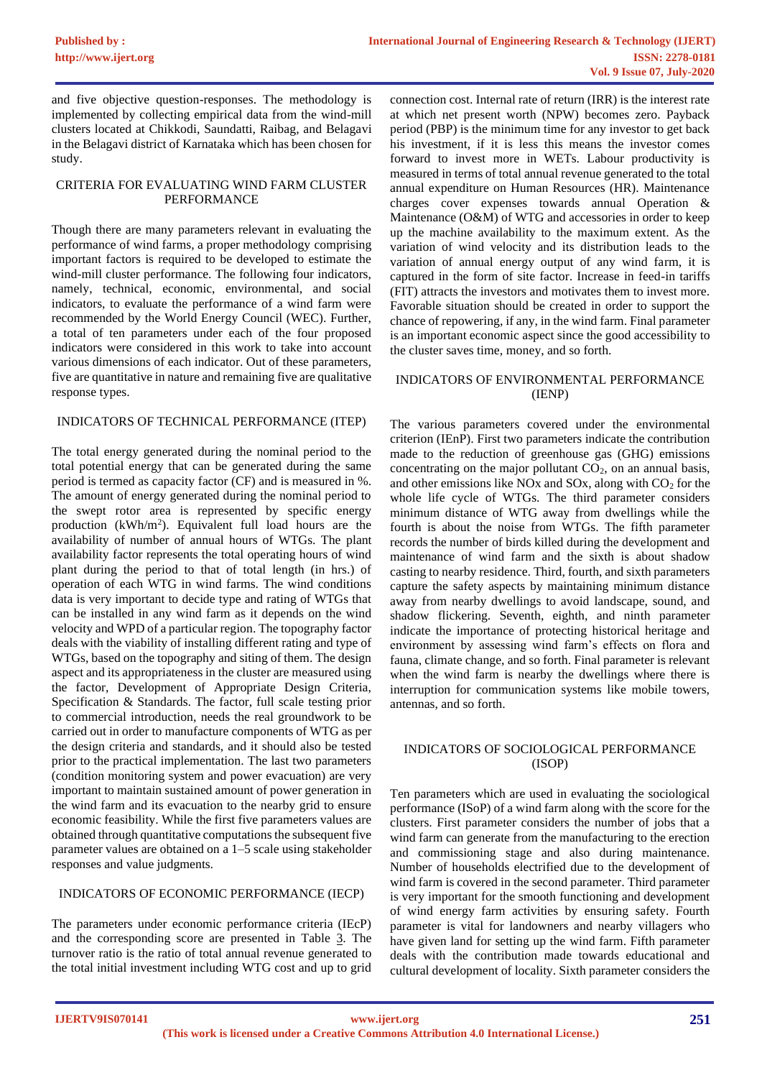and five objective question-responses. The methodology is implemented by collecting empirical data from the wind-mill clusters located at Chikkodi, Saundatti, Raibag, and Belagavi in the Belagavi district of Karnataka which has been chosen for study.

# CRITERIA FOR EVALUATING WIND FARM CLUSTER PERFORMANCE

Though there are many parameters relevant in evaluating the performance of wind farms, a proper methodology comprising important factors is required to be developed to estimate the wind-mill cluster performance. The following four indicators, namely, technical, economic, environmental, and social indicators, to evaluate the performance of a wind farm were recommended by the World Energy Council (WEC). Further, a total of ten parameters under each of the four proposed indicators were considered in this work to take into account various dimensions of each indicator. Out of these parameters, five are quantitative in nature and remaining five are qualitative response types.

# INDICATORS OF TECHNICAL PERFORMANCE (ITEP)

The total energy generated during the nominal period to the total potential energy that can be generated during the same period is termed as capacity factor (CF) and is measured in %. The amount of energy generated during the nominal period to the swept rotor area is represented by specific energy production  $(kWh/m^2)$ . Equivalent full load hours are the availability of number of annual hours of WTGs. The plant availability factor represents the total operating hours of wind plant during the period to that of total length (in hrs.) of operation of each WTG in wind farms. The wind conditions data is very important to decide type and rating of WTGs that can be installed in any wind farm as it depends on the wind velocity and WPD of a particular region. The topography factor deals with the viability of installing different rating and type of WTGs, based on the topography and siting of them. The design aspect and its appropriateness in the cluster are measured using the factor, Development of Appropriate Design Criteria, Specification & Standards. The factor, full scale testing prior to commercial introduction, needs the real groundwork to be carried out in order to manufacture components of WTG as per the design criteria and standards, and it should also be tested prior to the practical implementation. The last two parameters (condition monitoring system and power evacuation) are very important to maintain sustained amount of power generation in the wind farm and its evacuation to the nearby grid to ensure economic feasibility. While the first five parameters values are obtained through quantitative computations the subsequent five parameter values are obtained on a 1–5 scale using stakeholder responses and value judgments.

## INDICATORS OF ECONOMIC PERFORMANCE (IECP)

The parameters under economic performance criteria (IEcP) and the corresponding score are presented in Table [3.](https://www.hindawi.com/journals/jre/2016/6769405/tab3/) The turnover ratio is the ratio of total annual revenue generated to the total initial investment including WTG cost and up to grid connection cost. Internal rate of return (IRR) is the interest rate at which net present worth (NPW) becomes zero. Payback period (PBP) is the minimum time for any investor to get back his investment, if it is less this means the investor comes forward to invest more in WETs. Labour productivity is measured in terms of total annual revenue generated to the total annual expenditure on Human Resources (HR). Maintenance charges cover expenses towards annual Operation & Maintenance (O&M) of WTG and accessories in order to keep up the machine availability to the maximum extent. As the variation of wind velocity and its distribution leads to the variation of annual energy output of any wind farm, it is captured in the form of site factor. Increase in feed-in tariffs (FIT) attracts the investors and motivates them to invest more. Favorable situation should be created in order to support the chance of repowering, if any, in the wind farm. Final parameter is an important economic aspect since the good accessibility to the cluster saves time, money, and so forth.

# INDICATORS OF ENVIRONMENTAL PERFORMANCE (IENP)

The various parameters covered under the environmental criterion (IEnP). First two parameters indicate the contribution made to the reduction of greenhouse gas (GHG) emissions concentrating on the major pollutant  $CO<sub>2</sub>$ , on an annual basis, and other emissions like NOx and SOx, along with  $CO<sub>2</sub>$  for the whole life cycle of WTGs. The third parameter considers minimum distance of WTG away from dwellings while the fourth is about the noise from WTGs. The fifth parameter records the number of birds killed during the development and maintenance of wind farm and the sixth is about shadow casting to nearby residence. Third, fourth, and sixth parameters capture the safety aspects by maintaining minimum distance away from nearby dwellings to avoid landscape, sound, and shadow flickering. Seventh, eighth, and ninth parameter indicate the importance of protecting historical heritage and environment by assessing wind farm's effects on flora and fauna, climate change, and so forth. Final parameter is relevant when the wind farm is nearby the dwellings where there is interruption for communication systems like mobile towers, antennas, and so forth.

# INDICATORS OF SOCIOLOGICAL PERFORMANCE (ISOP)

Ten parameters which are used in evaluating the sociological performance (ISoP) of a wind farm along with the score for the clusters. First parameter considers the number of jobs that a wind farm can generate from the manufacturing to the erection and commissioning stage and also during maintenance. Number of households electrified due to the development of wind farm is covered in the second parameter. Third parameter is very important for the smooth functioning and development of wind energy farm activities by ensuring safety. Fourth parameter is vital for landowners and nearby villagers who have given land for setting up the wind farm. Fifth parameter deals with the contribution made towards educational and cultural development of locality. Sixth parameter considers the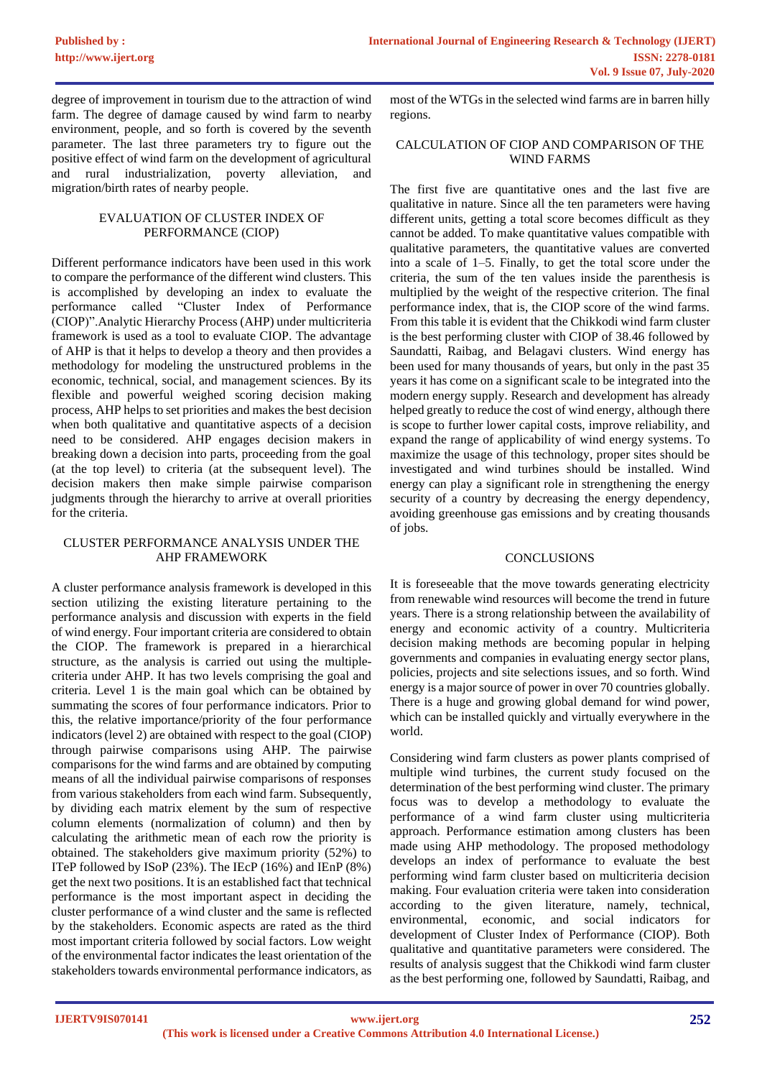degree of improvement in tourism due to the attraction of wind farm. The degree of damage caused by wind farm to nearby environment, people, and so forth is covered by the seventh parameter. The last three parameters try to figure out the positive effect of wind farm on the development of agricultural and rural industrialization, poverty alleviation, and migration/birth rates of nearby people.

# EVALUATION OF CLUSTER INDEX OF PERFORMANCE (CIOP)

Different performance indicators have been used in this work to compare the performance of the different wind clusters. This is accomplished by developing an index to evaluate the performance called "Cluster Index of Performance (CIOP)".Analytic Hierarchy Process (AHP) under multicriteria framework is used as a tool to evaluate CIOP. The advantage of AHP is that it helps to develop a theory and then provides a methodology for modeling the unstructured problems in the economic, technical, social, and management sciences. By its flexible and powerful weighed scoring decision making process, AHP helps to set priorities and makes the best decision when both qualitative and quantitative aspects of a decision need to be considered. AHP engages decision makers in breaking down a decision into parts, proceeding from the goal (at the top level) to criteria (at the subsequent level). The decision makers then make simple pairwise comparison judgments through the hierarchy to arrive at overall priorities for the criteria.

# CLUSTER PERFORMANCE ANALYSIS UNDER THE AHP FRAMEWORK

A cluster performance analysis framework is developed in this section utilizing the existing literature pertaining to the performance analysis and discussion with experts in the field of wind energy. Four important criteria are considered to obtain the CIOP. The framework is prepared in a hierarchical structure, as the analysis is carried out using the multiplecriteria under AHP. It has two levels comprising the goal and criteria. Level 1 is the main goal which can be obtained by summating the scores of four performance indicators. Prior to this, the relative importance/priority of the four performance indicators (level 2) are obtained with respect to the goal (CIOP) through pairwise comparisons using AHP. The pairwise comparisons for the wind farms and are obtained by computing means of all the individual pairwise comparisons of responses from various stakeholders from each wind farm. Subsequently, by dividing each matrix element by the sum of respective column elements (normalization of column) and then by calculating the arithmetic mean of each row the priority is obtained. The stakeholders give maximum priority (52%) to ITeP followed by ISoP (23%). The IEcP (16%) and IEnP (8%) get the next two positions. It is an established fact that technical performance is the most important aspect in deciding the cluster performance of a wind cluster and the same is reflected by the stakeholders. Economic aspects are rated as the third most important criteria followed by social factors. Low weight of the environmental factor indicates the least orientation of the stakeholders towards environmental performance indicators, as most of the WTGs in the selected wind farms are in barren hilly regions.

# CALCULATION OF CIOP AND COMPARISON OF THE WIND FARMS

The first five are quantitative ones and the last five are qualitative in nature. Since all the ten parameters were having different units, getting a total score becomes difficult as they cannot be added. To make quantitative values compatible with qualitative parameters, the quantitative values are converted into a scale of 1–5. Finally, to get the total score under the criteria, the sum of the ten values inside the parenthesis is multiplied by the weight of the respective criterion. The final performance index, that is, the CIOP score of the wind farms. From this table it is evident that the Chikkodi wind farm cluster is the best performing cluster with CIOP of 38.46 followed by Saundatti, Raibag, and Belagavi clusters. Wind energy has been used for many thousands of years, but only in the past 35 years it has come on a significant scale to be integrated into the modern energy supply. Research and development has already helped greatly to reduce the cost of wind energy, although there is scope to further lower capital costs, improve reliability, and expand the range of applicability of wind energy systems. To maximize the usage of this technology, proper sites should be investigated and wind turbines should be installed. Wind energy can play a significant role in strengthening the energy security of a country by decreasing the energy dependency, avoiding greenhouse gas emissions and by creating thousands of jobs.

# CONCLUSIONS

It is foreseeable that the move towards generating electricity from renewable wind resources will become the trend in future years. There is a strong relationship between the availability of energy and economic activity of a country. Multicriteria decision making methods are becoming popular in helping governments and companies in evaluating energy sector plans, policies, projects and site selections issues, and so forth. Wind energy is a major source of power in over 70 countries globally. There is a huge and growing global demand for wind power, which can be installed quickly and virtually everywhere in the world.

Considering wind farm clusters as power plants comprised of multiple wind turbines, the current study focused on the determination of the best performing wind cluster. The primary focus was to develop a methodology to evaluate the performance of a wind farm cluster using multicriteria approach. Performance estimation among clusters has been made using AHP methodology. The proposed methodology develops an index of performance to evaluate the best performing wind farm cluster based on multicriteria decision making. Four evaluation criteria were taken into consideration according to the given literature, namely, technical, environmental, economic, and social indicators for development of Cluster Index of Performance (CIOP). Both qualitative and quantitative parameters were considered. The results of analysis suggest that the Chikkodi wind farm cluster as the best performing one, followed by Saundatti, Raibag, and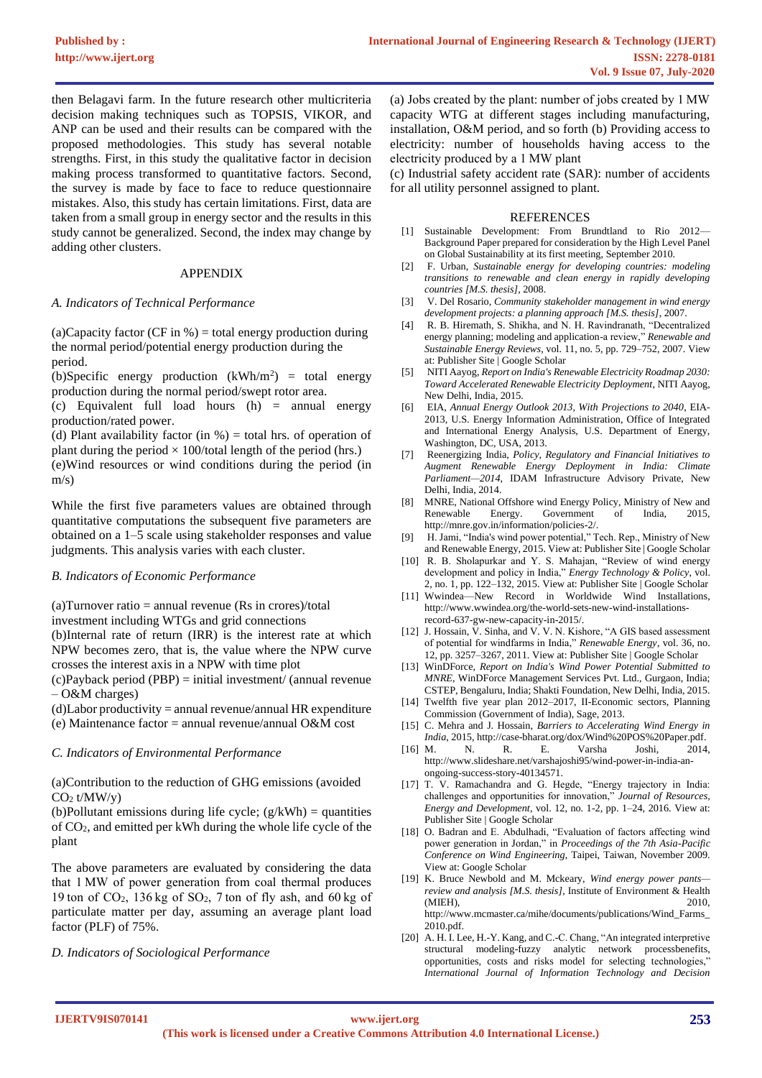then Belagavi farm. In the future research other multicriteria decision making techniques such as TOPSIS, VIKOR, and ANP can be used and their results can be compared with the proposed methodologies. This study has several notable strengths. First, in this study the qualitative factor in decision making process transformed to quantitative factors. Second, the survey is made by face to face to reduce questionnaire mistakes. Also, this study has certain limitations. First, data are taken from a small group in energy sector and the results in this study cannot be generalized. Second, the index may change by adding other clusters.

#### APPENDIX

### *A. Indicators of Technical Performance*

(a)Capacity factor (CF in  $\%$ ) = total energy production during the normal period/potential energy production during the period.

(b)Specific energy production  $(kWh/m^2)$  = total energy production during the normal period/swept rotor area.

(c) Equivalent full load hours (h) = annual energy production/rated power.

(d) Plant availability factor (in  $\%$ ) = total hrs. of operation of plant during the period  $\times$  100/total length of the period (hrs.) (e)Wind resources or wind conditions during the period (in  $m/s$ )

While the first five parameters values are obtained through quantitative computations the subsequent five parameters are obtained on a 1–5 scale using stakeholder responses and value judgments. This analysis varies with each cluster.

## *B. Indicators of Economic Performance*

 $(a)$ Turnover ratio = annual revenue (Rs in crores)/total investment including WTGs and grid connections

(b)Internal rate of return (IRR) is the interest rate at which NPW becomes zero, that is, the value where the NPW curve crosses the interest axis in a NPW with time plot

(c)Payback period (PBP) = initial investment/ (annual revenue – O&M charges)

 $(d)$ Labor productivity = annual revenue/annual HR expenditure (e) Maintenance factor = annual revenue/annual  $O\&M$  cost

#### *C. Indicators of Environmental Performance*

(a)Contribution to the reduction of GHG emissions (avoided  $CO<sub>2</sub> t/MW/v$ 

(b)Pollutant emissions during life cycle;  $(g/kWh)$  = quantities of CO2, and emitted per kWh during the whole life cycle of the plant

The above parameters are evaluated by considering the data that 1 MW of power generation from coal thermal produces 19 ton of  $CO<sub>2</sub>$ , 136 kg of  $SO<sub>2</sub>$ , 7 ton of fly ash, and 60 kg of particulate matter per day, assuming an average plant load factor (PLF) of 75%.

#### *D. Indicators of Sociological Performance*

(a) Jobs created by the plant: number of jobs created by 1 MW capacity WTG at different stages including manufacturing, installation, O&M period, and so forth (b) Providing access to electricity: number of households having access to the electricity produced by a 1 MW plant

(c) Industrial safety accident rate (SAR): number of accidents for all utility personnel assigned to plant.

#### REFERENCES

- [1] Sustainable Development: From Brundtland to Rio 2012— Background Paper prepared for consideration by the High Level Panel on Global Sustainability at its first meeting, September 2010.
- [2] F. Urban, *Sustainable energy for developing countries: modeling transitions to renewable and clean energy in rapidly developing countries [M.S. thesis]*, 2008.
- [3] V. Del Rosario, *Community stakeholder management in wind energy development projects: a planning approach [M.S. thesis]*, 2007.
- [4] R. B. Hiremath, S. Shikha, and N. H. Ravindranath, "Decentralized energy planning; modeling and application-a review," *Renewable and Sustainable Energy Reviews*, vol. 11, no. 5, pp. 729–752, 2007. View at: Publisher Site | Google Scholar
- [5] NITI Aayog, *Report on India's Renewable Electricity Roadmap 2030: Toward Accelerated Renewable Electricity Deployment*, NITI Aayog, New Delhi, India, 2015.
- [6] EIA, *Annual Energy Outlook 2013, With Projections to 2040*, EIA-2013, U.S. Energy Information Administration, Office of Integrated and International Energy Analysis, U.S. Department of Energy, Washington, DC, USA, 2013.
- [7] Reenergizing India, *Policy, Regulatory and Financial Initiatives to Augment Renewable Energy Deployment in India: Climate Parliament—2014*, IDAM Infrastructure Advisory Private, New Delhi, India, 2014.
- [8] MNRE, National Offshore wind Energy Policy, Ministry of New and Renewable Energy. Government of India, 2015, http://mnre.gov.in/information/policies-2/.
- [9] H. Jami, "India's wind power potential," Tech. Rep., Ministry of New and Renewable Energy, 2015. View at: Publisher Site | Google Scholar
- [10] R. B. Sholapurkar and Y. S. Mahajan, "Review of wind energy development and policy in India," *Energy Technology & Policy*, vol. 2, no. 1, pp. 122–132, 2015. View at: Publisher Site | Google Scholar
- [11] Wwindea—New Record in Worldwide Wind Installations, http://www.wwindea.org/the-world-sets-new-wind-installationsrecord-637-gw-new-capacity-in-2015/.
- [12] J. Hossain, V. Sinha, and V. V. N. Kishore, "A GIS based assessment of potential for windfarms in India," *Renewable Energy*, vol. 36, no. 12, pp. 3257–3267, 2011. View at: Publisher Site | Google Scholar
- [13] WinDForce, *Report on India's Wind Power Potential Submitted to MNRE*, WinDForce Management Services Pvt. Ltd., Gurgaon, India; CSTEP, Bengaluru, India; Shakti Foundation, New Delhi, India, 2015.
- [14] Twelfth five year plan 2012–2017, II-Economic sectors, Planning Commission (Government of India), Sage, 2013.
- [15] C. Mehra and J. Hossain, *Barriers to Accelerating Wind Energy in India*, 2015, http://case-bharat.org/dox/Wind%20POS%20Paper.pdf.
- [16] M. N. R. E. Varsha Joshi, 2014, http://www.slideshare.net/varshajoshi95/wind-power-in-india-anongoing-success-story-40134571.
- [17] T. V. Ramachandra and G. Hegde, "Energy trajectory in India: challenges and opportunities for innovation," *Journal of Resources, Energy and Development*, vol. 12, no. 1-2, pp. 1–24, 2016. View at: Publisher Site | Google Scholar
- [18] O. Badran and E. Abdulhadi, "Evaluation of factors affecting wind power generation in Jordan," in *Proceedings of the 7th Asia-Pacific Conference on Wind Engineering*, Taipei, Taiwan, November 2009. View at: Google Scholar
- [19] K. Bruce Newbold and M. Mckeary, *Wind energy power pants review and analysis [M.S. thesis]*, Institute of Environment & Health (MIEH), 2010, http://www.mcmaster.ca/mihe/documents/publications/Wind\_Farms\_ 2010.pdf.
- [20] A. H. I. Lee, H.-Y. Kang, and C.-C. Chang, "An integrated interpretive structural modeling-fuzzy analytic network processbenefits, opportunities, costs and risks model for selecting technologies,' *International Journal of Information Technology and Decision*